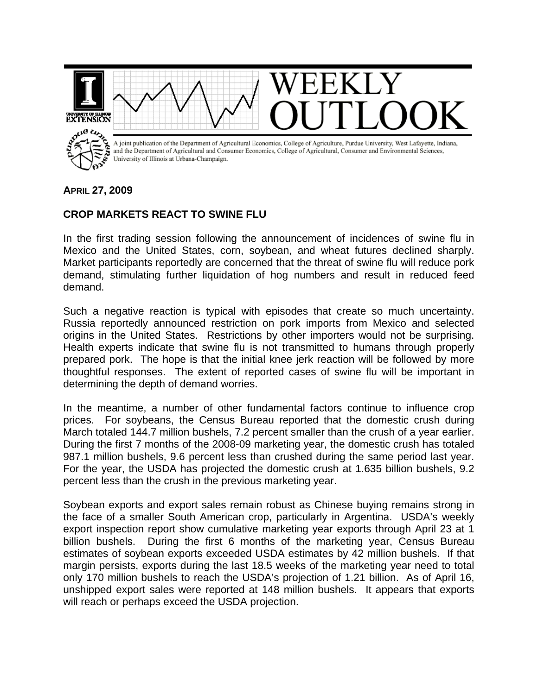

## **APRIL 27, 2009**

## **CROP MARKETS REACT TO SWINE FLU**

In the first trading session following the announcement of incidences of swine flu in Mexico and the United States, corn, soybean, and wheat futures declined sharply. Market participants reportedly are concerned that the threat of swine flu will reduce pork demand, stimulating further liquidation of hog numbers and result in reduced feed demand.

Such a negative reaction is typical with episodes that create so much uncertainty. Russia reportedly announced restriction on pork imports from Mexico and selected origins in the United States. Restrictions by other importers would not be surprising. Health experts indicate that swine flu is not transmitted to humans through properly prepared pork. The hope is that the initial knee jerk reaction will be followed by more thoughtful responses. The extent of reported cases of swine flu will be important in determining the depth of demand worries.

In the meantime, a number of other fundamental factors continue to influence crop prices. For soybeans, the Census Bureau reported that the domestic crush during March totaled 144.7 million bushels, 7.2 percent smaller than the crush of a year earlier. During the first 7 months of the 2008-09 marketing year, the domestic crush has totaled 987.1 million bushels, 9.6 percent less than crushed during the same period last year. For the year, the USDA has projected the domestic crush at 1.635 billion bushels, 9.2 percent less than the crush in the previous marketing year.

Soybean exports and export sales remain robust as Chinese buying remains strong in the face of a smaller South American crop, particularly in Argentina. USDA's weekly export inspection report show cumulative marketing year exports through April 23 at 1 billion bushels. During the first 6 months of the marketing year, Census Bureau estimates of soybean exports exceeded USDA estimates by 42 million bushels. If that margin persists, exports during the last 18.5 weeks of the marketing year need to total only 170 million bushels to reach the USDA's projection of 1.21 billion. As of April 16, unshipped export sales were reported at 148 million bushels. It appears that exports will reach or perhaps exceed the USDA projection.